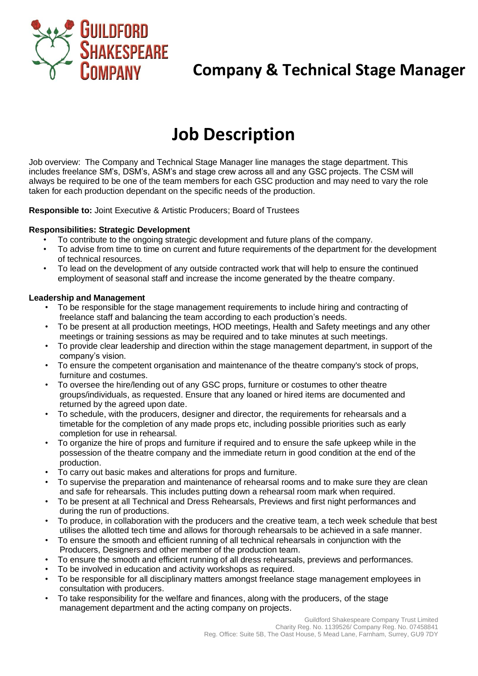

# **Company & Technical Stage Manager**

# **Job Description**

Job overview: The Company and Technical Stage Manager line manages the stage department. This includes freelance SM's, DSM's, ASM's and stage crew across all and any GSC projects. The CSM will always be required to be one of the team members for each GSC production and may need to vary the role taken for each production dependant on the specific needs of the production.

**Responsible to:** Joint Executive & Artistic Producers; Board of Trustees

### **Responsibilities: Strategic Development**

- To contribute to the ongoing strategic development and future plans of the company.
- To advise from time to time on current and future requirements of the department for the development of technical resources.
- To lead on the development of any outside contracted work that will help to ensure the continued employment of seasonal staff and increase the income generated by the theatre company.

### **Leadership and Management**

- To be responsible for the stage management requirements to include hiring and contracting of freelance staff and balancing the team according to each production's needs.
- To be present at all production meetings, HOD meetings, Health and Safety meetings and any other meetings or training sessions as may be required and to take minutes at such meetings.
- To provide clear leadership and direction within the stage management department, in support of the company's vision.
- To ensure the competent organisation and maintenance of the theatre company's stock of props, furniture and costumes.
- To oversee the hire/lending out of any GSC props, furniture or costumes to other theatre groups/individuals, as requested. Ensure that any loaned or hired items are documented and returned by the agreed upon date.
- To schedule, with the producers, designer and director, the requirements for rehearsals and a timetable for the completion of any made props etc, including possible priorities such as early completion for use in rehearsal.
- To organize the hire of props and furniture if required and to ensure the safe upkeep while in the possession of the theatre company and the immediate return in good condition at the end of the production.
- To carry out basic makes and alterations for props and furniture.
- To supervise the preparation and maintenance of rehearsal rooms and to make sure they are clean and safe for rehearsals. This includes putting down a rehearsal room mark when required.
- To be present at all Technical and Dress Rehearsals, Previews and first night performances and during the run of productions.
- To produce, in collaboration with the producers and the creative team, a tech week schedule that best utilises the allotted tech time and allows for thorough rehearsals to be achieved in a safe manner.
- To ensure the smooth and efficient running of all technical rehearsals in conjunction with the Producers, Designers and other member of the production team.
- To ensure the smooth and efficient running of all dress rehearsals, previews and performances.
- To be involved in education and activity workshops as required.
- To be responsible for all disciplinary matters amongst freelance stage management employees in consultation with producers.
- To take responsibility for the welfare and finances, along with the producers, of the stage management department and the acting company on projects.